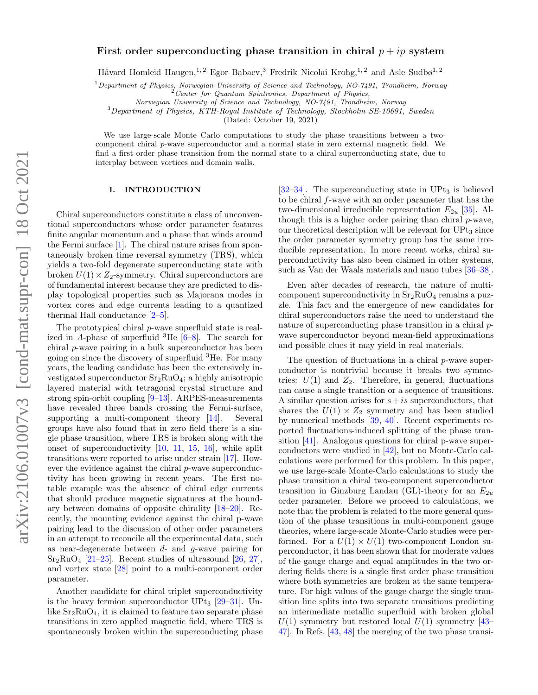# First order superconducting phase transition in chiral  $p + ip$  system

Håvard Homleid Haugen,<sup>1, 2</sup> Egor Babaev,<sup>3</sup> Fredrik Nicolai Krohg,<sup>1, 2</sup> and Asle Sudbø<sup>1, 2</sup>

 $1$  Department of Physics, Norwegian University of Science and Technology, NO-7491, Trondheim, Norway

 $P$ Center for Quantum Spintronics, Department of Physics,

Norwegian University of Science and Technology, NO-7491, Trondheim, Norway

<sup>3</sup>Department of Physics, KTH-Royal Institute of Technology, Stockholm SE-10691, Sweden

(Dated: October 19, 2021)

We use large-scale Monte Carlo computations to study the phase transitions between a twocomponent chiral  $p$ -wave superconductor and a normal state in zero external magnetic field. We find a first order phase transition from the normal state to a chiral superconducting state, due to interplay between vortices and domain walls.

## I. INTRODUCTION

Chiral superconductors constitute a class of unconventional superconductors whose order parameter features finite angular momentum and a phase that winds around the Fermi surface [\[1\]](#page-7-0). The chiral nature arises from spontaneously broken time reversal symmetry (TRS), which yields a two-fold degenerate superconducting state with broken  $U(1) \times Z_2$ -symmetry. Chiral superconductors are of fundamental interest because they are predicted to display topological properties such as Majorana modes in vortex cores and edge currents leading to a quantized thermal Hall conductance [\[2](#page-7-1)[–5\]](#page-7-2).

The prototypical chiral  $p$ -wave superfluid state is realized in A-phase of superfluid  ${}^{3}$ He  $[6-8]$  $[6-8]$ . The search for chiral p-wave pairing in a bulk superconductor has been going on since the discovery of superfluid  ${}^{3}$ He. For many years, the leading candidate has been the extensively investigated superconductor  $Sr<sub>2</sub>RuO<sub>4</sub>$ ; a highly anisotropic layered material with tetragonal crystal structure and strong spin-orbit coupling [\[9–](#page-8-1)[13\]](#page-8-2). ARPES-measurements have revealed three bands crossing the Fermi-surface, supporting a multi-component theory [\[14\]](#page-8-3). Several groups have also found that in zero field there is a single phase transition, where TRS is broken along with the onset of superconductivity [\[10,](#page-8-4) [11,](#page-8-5) [15,](#page-8-6) [16\]](#page-8-7), while split transitions were reported to arise under strain [\[17\]](#page-8-8). However the evidence against the chiral p-wave superconductivity has been growing in recent years. The first notable example was the absence of chiral edge currents that should produce magnetic signatures at the boundary between domains of opposite chirality [\[18–](#page-8-9)[20\]](#page-8-10). Recently, the mounting evidence against the chiral p-wave pairing lead to the discussion of other order parameters in an attempt to reconcile all the experimental data, such as near-degenerate between  $d$ - and  $q$ -wave pairing for  $Sr<sub>2</sub>RuO<sub>4</sub>$  [\[21](#page-8-11)[–25\]](#page-8-12). Recent studies of ultrasound [\[26,](#page-8-13) [27\]](#page-8-14), and vortex state [\[28\]](#page-8-15) point to a multi-component order parameter.

Another candidate for chiral triplet superconductivity is the heavy fermion superconductor  $UPt_3$  [\[29–](#page-8-16)[31\]](#page-8-17). Unlike  $Sr<sub>2</sub>RuO<sub>4</sub>$ , it is claimed to feature two separate phase transitions in zero applied magnetic field, where TRS is spontaneously broken within the superconducting phase

 $[32-34]$  $[32-34]$ . The superconducting state in UPt<sub>3</sub> is believed to be chiral f-wave with an order parameter that has the two-dimensional irreducible representation  $E_{2u}$  [\[35\]](#page-8-20). Although this is a higher order pairing than chiral p-wave, our theoretical description will be relevant for  $UPt_3$  since the order parameter symmetry group has the same irreducible representation. In more recent works, chiral superconductivity has also been claimed in other systems, such as Van der Waals materials and nano tubes [\[36–](#page-8-21)[38\]](#page-8-22).

Even after decades of research, the nature of multicomponent superconductivity in  $Sr<sub>2</sub>RuO<sub>4</sub>$  remains a puzzle. This fact and the emergence of new candidates for chiral superconductors raise the need to understand the nature of superconducting phase transition in a chiral pwave superconductor beyond mean-field approximations and possible clues it may yield in real materials.

The question of fluctuations in a chiral p-wave superconductor is nontrivial because it breaks two symmetries:  $U(1)$  and  $Z_2$ . Therefore, in general, fluctuations can cause a single transition or a sequence of transitions. A similar question arises for  $s+is$  superconductors, that shares the  $U(1) \times Z_2$  symmetry and has been studied by numerical methods [\[39,](#page-8-23) [40\]](#page-8-24). Recent experiments reported fluctuations-induced splitting of the phase transition [\[41\]](#page-8-25). Analogous questions for chiral p-wave superconductors were studied in [\[42\]](#page-8-26), but no Monte-Carlo calculations were performed for this problem. In this paper, we use large-scale Monte-Carlo calculations to study the phase transition a chiral two-component superconductor transition in Ginzburg Landau (GL)-theory for an  $E_{2u}$ order parameter. Before we proceed to calculations, we note that the problem is related to the more general question of the phase transitions in multi-component gauge theories, where large-scale Monte-Carlo studies were performed. For a  $U(1) \times U(1)$  two-component London superconductor, it has been shown that for moderate values of the gauge charge and equal amplitudes in the two ordering fields there is a single first order phase transition where both symmetries are broken at the same temperature. For high values of the gauge charge the single transition line splits into two separate transitions predicting an intermediate metallic superfluid with broken global  $U(1)$  symmetry but restored local  $U(1)$  symmetry [\[43–](#page-8-27) [47\]](#page-8-28). In Refs. [\[43,](#page-8-27) [48\]](#page-8-29) the merging of the two phase transi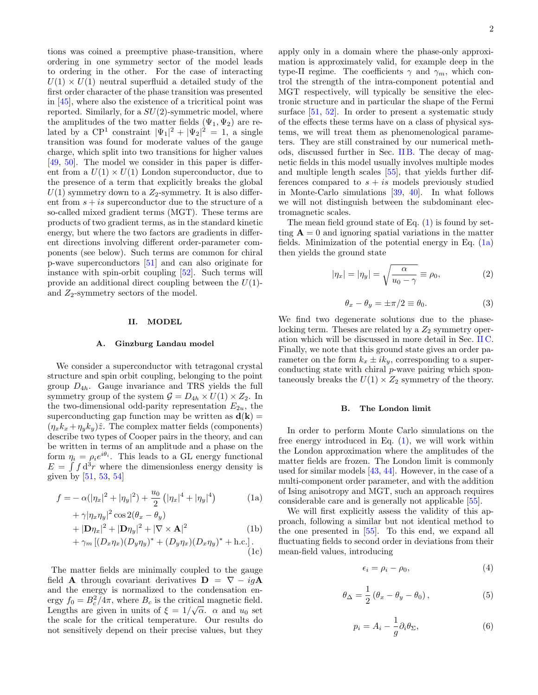tions was coined a preemptive phase-transition, where ordering in one symmetry sector of the model leads to ordering in the other. For the case of interacting  $U(1) \times U(1)$  neutral superfluid a detailed study of the first order character of the phase transition was presented in [\[45\]](#page-8-30), where also the existence of a tricritical point was reported. Similarly, for a  $SU(2)$ -symmetric model, where the amplitudes of the two matter fields  $(\Psi_1, \Psi_2)$  are related by a CP<sup>1</sup> constraint  $|\Psi_1|^2 + |\Psi_2|^2 = 1$ , a single transition was found for moderate values of the gauge charge, which split into two transitions for higher values [\[49,](#page-8-31) [50\]](#page-8-32). The model we consider in this paper is different from a  $U(1) \times U(1)$  London superconductor, due to the presence of a term that explicitly breaks the global  $U(1)$  symmetry down to a  $Z_2$ -symmetry. It is also different from  $s + is$  superconductor due to the structure of a so-called mixed gradient terms (MGT). These terms are products of two gradient terms, as in the standard kinetic energy, but where the two factors are gradients in different directions involving different order-parameter components (see below). Such terms are common for chiral p-wave superconductors [\[51\]](#page-8-33) and can also originate for instance with spin-orbit coupling [\[52\]](#page-8-34). Such terms will provide an additional direct coupling between the  $U(1)$ and  $Z_2$ -symmetry sectors of the model.

## II. MODEL

## A. Ginzburg Landau model

We consider a superconductor with tetragonal crystal structure and spin orbit coupling, belonging to the point group  $D_{4h}$ . Gauge invariance and TRS yields the full symmetry group of the system  $\mathcal{G} = D_{4h} \times U(1) \times Z_2$ . In the two-dimensional odd-parity representation  $E_{2u}$ , the superconducting gap function may be written as  $d(\mathbf{k}) =$  $(\eta_x k_x + \eta_y k_y)\hat{z}$ . The complex matter fields (components) describe two types of Cooper pairs in the theory, and can be written in terms of an amplitude and a phase on the form  $\eta_i = \rho_i e^{i\theta_i}$ . This leads to a GL energy functional  $E = \int f d^3r$  where the dimensionless energy density is given by [\[51,](#page-8-33) [53,](#page-8-35) [54\]](#page-8-36)

$$
f = -\alpha(|\eta_x|^2 + |\eta_y|^2) + \frac{u_0}{2} (|\eta_x|^4 + |\eta_y|^4)
$$
 (1a)

+ 
$$
\gamma |\eta_x \eta_y|^2 \cos 2(\theta_x - \theta_y)
$$
  
+  $|\mathbf{D}\eta_x|^2$  +  $|\mathbf{D}\eta_y|^2$  +  $|\nabla \times \mathbf{A}|^2$  (1b)  
+  $\gamma_m [(D_x \eta_x)(D_y \eta_y)^* + (D_y \eta_x)(D_x \eta_y)^* + \text{h.c.}]. (1c)$ 

The matter fields are minimally coupled to the gauge field **A** through covariant derivatives  $\mathbf{D} = \nabla - ig\mathbf{A}$ and the energy is normalized to the condensation energy  $f_0 = B_c^2/4\pi$ , where  $B_c$  is the critical magnetic field. Lengths are given in units of  $\xi = 1/\sqrt{\alpha}$ .  $\alpha$  and  $u_0$  set the scale for the critical temperature. Our results do not sensitively depend on their precise values, but they apply only in a domain where the phase-only approximation is approximately valid, for example deep in the type-II regime. The coefficients  $\gamma$  and  $\gamma_m$ , which control the strength of the intra-component potential and MGT respectively, will typically be sensitive the electronic structure and in particular the shape of the Fermi surface [\[51,](#page-8-33) [52\]](#page-8-34). In order to present a systematic study of the effects these terms have on a class of physical systems, we will treat them as phenomenological parameters. They are still constrained by our numerical meth-

ods, discussed further in Sec. [II B.](#page-1-0) The decay of magnetic fields in this model usually involves multiple modes and multiple length scales [\[55\]](#page-8-37), that yields further differences compared to  $s + is$  models previously studied in Monte-Carlo simulations [\[39,](#page-8-23) [40\]](#page-8-24). In what follows we will not distinguish between the subdominant electromagnetic scales. The mean field ground state of Eq.  $(1)$  is found by set-

ting  $\mathbf{A} = 0$  and ignoring spatial variations in the matter fields. Minimization of the potential energy in Eq.  $(1a)$ then yields the ground state

<span id="page-1-3"></span>
$$
|\eta_x| = |\eta_y| = \sqrt{\frac{\alpha}{u_0 - \gamma}} \equiv \rho_0,\tag{2}
$$

<span id="page-1-4"></span>
$$
\theta_x - \theta_y = \pm \pi/2 \equiv \theta_0. \tag{3}
$$

We find two degenerate solutions due to the phaselocking term. Theses are related by a  $Z_2$  symmetry operation which will be discussed in more detail in Sec. [II C.](#page-2-0) Finally, we note that this ground state gives an order parameter on the form  $k_x \pm ik_y$ , corresponding to a superconducting state with chiral p-wave pairing which spontaneously breaks the  $U(1) \times Z_2$  symmetry of the theory.

### <span id="page-1-0"></span>B. The London limit

In order to perform Monte Carlo simulations on the free energy introduced in Eq. [\(1\)](#page-1-1), we will work within the London approximation where the amplitudes of the matter fields are frozen. The London limit is commonly used for similar models [\[43,](#page-8-27) [44\]](#page-8-38). However, in the case of a multi-component order parameter, and with the addition of Ising anisotropy and MGT, such an approach requires considerable care and is generally not applicable [\[55\]](#page-8-37).

<span id="page-1-5"></span><span id="page-1-2"></span><span id="page-1-1"></span>We will first explicitly assess the validity of this approach, following a similar but not identical method to the one presented in [\[55\]](#page-8-37). To this end, we expand all fluctuating fields to second order in deviations from their mean-field values, introducing

<span id="page-1-6"></span>
$$
\epsilon_i = \rho_i - \rho_0,\tag{4}
$$

$$
\theta_{\Delta} = \frac{1}{2} \left( \theta_x - \theta_y - \theta_0 \right), \tag{5}
$$

<span id="page-1-7"></span>
$$
p_i = A_i - \frac{1}{g} \partial_i \theta_\Sigma, \tag{6}
$$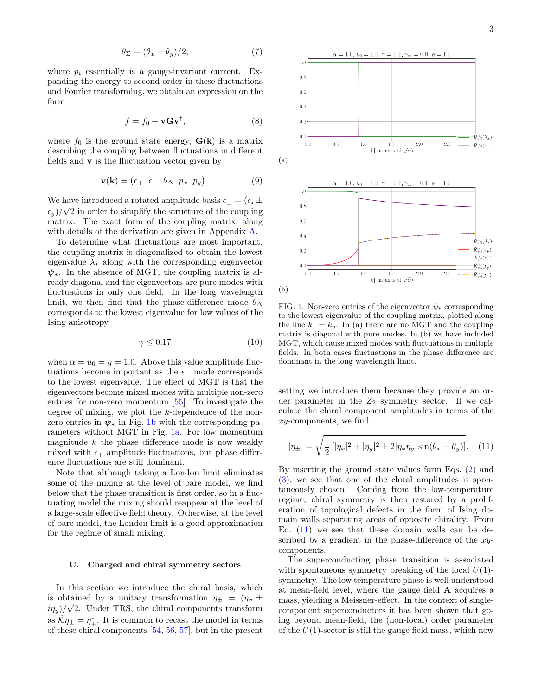$$
\theta_{\Sigma} = (\theta_x + \theta_y)/2, \tag{7}
$$

where  $p_i$  essentially is a gauge-invariant current. Expanding the energy to second order in these fluctuations and Fourier transforming, we obtain an expression on the form

<span id="page-2-4"></span>
$$
f = f_0 + \mathbf{v} \mathbf{G} \mathbf{v}^\dagger,\tag{8}
$$

where  $f_0$  is the ground state energy,  $\mathbf{G}(\mathbf{k})$  is a matrix describing the coupling between fluctuations in different fields and  ${\bf v}$  is the fluctuation vector given by

<span id="page-2-5"></span>
$$
\mathbf{v}(\mathbf{k}) = \begin{pmatrix} \epsilon_+ & \epsilon_- & \theta_\Delta & p_x & p_y \end{pmatrix} . \tag{9}
$$

We have introduced a rotated amplitude basis  $\epsilon_{\pm} = (\epsilon_x \pm \epsilon_y)$  $(\epsilon_y)/\sqrt{2}$  in order to simplify the structure of the coupling matrix. The exact form of the coupling matrix, along with details of the derivation are given in Appendix [A.](#page-9-0)

To determine what fluctuations are most important, the coupling matrix is diagonalized to obtain the lowest eigenvalue  $\lambda_*$  along with the corresponding eigenvector  $\psi_*$ . In the absence of MGT, the coupling matrix is already diagonal and the eigenvectors are pure modes with fluctuations in only one field. In the long wavelength limit, we then find that the phase-difference mode  $\theta_{\Delta}$ corresponds to the lowest eigenvalue for low values of the Ising anisotropy

$$
\gamma \le 0.17\tag{10}
$$

when  $\alpha = u_0 = g = 1.0$ . Above this value amplitude fluctuations become important as the  $\epsilon$  mode corresponds to the lowest eigenvalue. The effect of MGT is that the eigenvectors become mixed modes with multiple non-zero entries for non-zero momentum [\[55\]](#page-8-37). To investigate the degree of mixing, we plot the k-dependence of the nonzero entries in  $\psi_*$  in Fig. [1b](#page-2-1) with the corresponding parameters without MGT in Fig. [1a.](#page-2-2) For low momentum magnitude  $k$  the phase difference mode is now weakly mixed with  $\epsilon_+$  amplitude fluctuations, but phase difference fluctuations are still dominant.

Note that although taking a London limit eliminates some of the mixing at the level of bare model, we find below that the phase transition is first order, so in a fluctuating model the mixing should reappear at the level of a large-scale effective field theory. Otherwise, at the level of bare model, the London limit is a good approximation for the regime of small mixing.

## <span id="page-2-0"></span>C. Charged and chiral symmetry sectors

In this section we introduce the chiral basis, which is obtained by a unitary transformation  $\eta_{\pm} = (\eta_x \pm \eta_y)(\sqrt{x})$  $(i\eta_y)/\sqrt{2}$ . Under TRS, the chiral components transform as  $\hat{\mathcal{K}}\eta_{\pm} = \eta_{\mp}^*$ . It is common to recast the model in terms of these chiral components [\[54,](#page-8-36) [56,](#page-8-39) [57\]](#page-8-40), but in the present

<span id="page-2-2"></span><span id="page-2-1"></span>

FIG. 1. Non-zero entries of the eigenvector  $\psi_*$  corresponding to the lowest eigenvalue of the coupling matrix, plotted along the line  $k_x = k_y$ . In (a) there are no MGT and the coupling matrix is diagonal with pure modes. In (b) we have included MGT, which cause mixed modes with fluctuations in multiple fields. In both cases fluctuations in the phase difference are dominant in the long wavelength limit.

setting we introduce them because they provide an order parameter in the  $Z_2$  symmetry sector. If we calculate the chiral component amplitudes in terms of the xy-components, we find

<span id="page-2-3"></span>
$$
|\eta_{\pm}| = \sqrt{\frac{1}{2} [|\eta_x|^2 + |\eta_y|^2 \pm 2 |\eta_x \eta_y| \sin(\theta_x - \theta_y)]}. \quad (11)
$$

By inserting the ground state values form Eqs. [\(2\)](#page-1-3) and [\(3\)](#page-1-4), we see that one of the chiral amplitudes is spontaneously chosen. Coming from the low-temperature regime, chiral symmetry is then restored by a proliferation of topological defects in the form of Ising domain walls separating areas of opposite chirality. From Eq.  $(11)$  we see that these domain walls can be described by a gradient in the phase-difference of the xycomponents.

The superconducting phase transition is associated with spontaneous symmetry breaking of the local  $U(1)$ symmetry. The low temperature phase is well understood at mean-field level, where the gauge field A acquires a mass, yielding a Meissner-effect. In the context of singlecomponent superconductors it has been shown that going beyond mean-field, the (non-local) order parameter of the  $U(1)$ -sector is still the gauge field mass, which now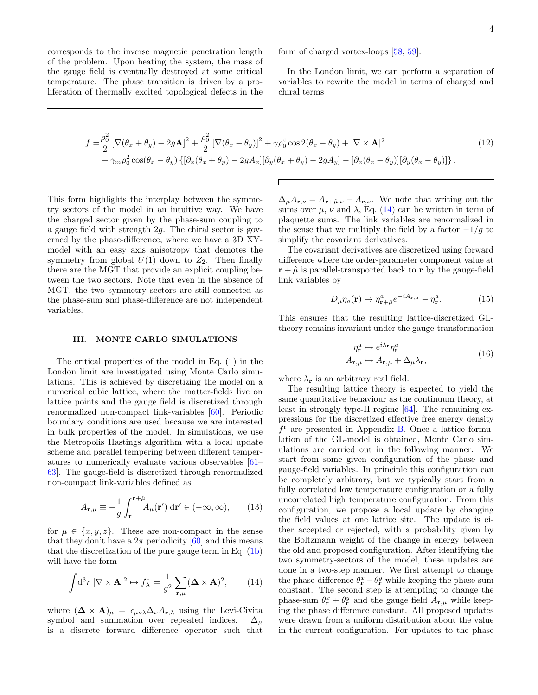corresponds to the inverse magnetic penetration length of the problem. Upon heating the system, the mass of the gauge field is eventually destroyed at some critical temperature. The phase transition is driven by a proliferation of thermally excited topological defects in the form of charged vortex-loops [\[58,](#page-8-41) [59\]](#page-9-1).

<span id="page-3-1"></span>In the London limit, we can perform a separation of variables to rewrite the model in terms of charged and chiral terms

$$
f = \frac{\rho_0^2}{2} \left[ \nabla (\theta_x + \theta_y) - 2g\mathbf{A} \right]^2 + \frac{\rho_0^2}{2} \left[ \nabla (\theta_x - \theta_y) \right]^2 + \gamma \rho_0^4 \cos 2(\theta_x - \theta_y) + |\nabla \times \mathbf{A}|^2 + \gamma_m \rho_0^2 \cos(\theta_x - \theta_y) \left\{ \left[ \partial_x (\theta_x + \theta_y) - 2gA_x \right] \left[ \partial_y (\theta_x + \theta_y) - 2gA_y \right] - \left[ \partial_x (\theta_x - \theta_y) \right] \left[ \partial_y (\theta_x - \theta_y) \right] \right\}.
$$
\n(12)

This form highlights the interplay between the symmetry sectors of the model in an intuitive way. We have the charged sector given by the phase-sum coupling to a gauge field with strength 2g. The chiral sector is governed by the phase-difference, where we have a 3D XYmodel with an easy axis anisotropy that demotes the symmetry from global  $U(1)$  down to  $Z_2$ . Then finally there are the MGT that provide an explicit coupling between the two sectors. Note that even in the absence of MGT, the two symmetry sectors are still connected as the phase-sum and phase-difference are not independent variables.

### <span id="page-3-2"></span>III. MONTE CARLO SIMULATIONS

The critical properties of the model in Eq. [\(1\)](#page-1-1) in the London limit are investigated using Monte Carlo simulations. This is achieved by discretizing the model on a numerical cubic lattice, where the matter-fields live on lattice points and the gauge field is discretized through renormalized non-compact link-variables [\[60\]](#page-9-2). Periodic boundary conditions are used because we are interested in bulk properties of the model. In simulations, we use the Metropolis Hastings algorithm with a local update scheme and parallel tempering between different temperatures to numerically evaluate various observables [\[61–](#page-9-3) [63\]](#page-9-4). The gauge-field is discretized through renormalized non-compact link-variables defined as

$$
A_{\mathbf{r},\mu} \equiv -\frac{1}{g} \int_{\mathbf{r}}^{\mathbf{r}+\hat{\mu}} A_{\mu}(\mathbf{r}') \, \mathrm{d}\mathbf{r}' \in (-\infty, \infty), \qquad (13)
$$

for  $\mu \in \{x, y, z\}$ . These are non-compact in the sense that they don't have a  $2\pi$  periodicity [\[60\]](#page-9-2) and this means that the discretization of the pure gauge term in Eq. [\(1b\)](#page-1-5) will have the form

<span id="page-3-0"></span>
$$
\int d^3r \, |\nabla \times \mathbf{A}|^2 \mapsto f_{\mathbf{A}}^{\mathbf{r}} = \frac{1}{g^2} \sum_{\mathbf{r}, \mu} (\mathbf{\Delta} \times \mathbf{A})^2, \qquad (14)
$$

where  $(\mathbf{\Delta} \times \mathbf{A})_{\mu} = \epsilon_{\mu\nu\lambda} \Delta_{\nu} A_{\mathbf{r},\lambda}$  using the Levi-Civita symbol and summation over repeated indices.  $\Delta_{\mu}$ is a discrete forward difference operator such that

 $\Delta_{\mu}A_{\mathbf{r},\nu}=A_{\mathbf{r}+\hat{\mu},\nu}-A_{\mathbf{r},\nu}$ . We note that writing out the sums over  $\mu$ ,  $\nu$  and  $\lambda$ , Eq. [\(14\)](#page-3-0) can be written in term of plaquette sums. The link variables are renormalized in the sense that we multiply the field by a factor  $-1/g$  to simplify the covariant derivatives.

The covariant derivatives are discretized using forward difference where the order-parameter component value at  $\mathbf{r} + \hat{\mu}$  is parallel-transported back to **r** by the gauge-field link variables by

<span id="page-3-3"></span>
$$
D_{\mu}\eta_a(\mathbf{r}) \mapsto \eta_{\mathbf{r}+\hat{\mu}}^a e^{-iA_{\mathbf{r},\mu}} - \eta_{\mathbf{r}}^a. \tag{15}
$$

This ensures that the resulting lattice-discretized GLtheory remains invariant under the gauge-transformation

$$
\eta_{\mathbf{r}}^{a} \mapsto e^{i\lambda_{\mathbf{r}}} \eta_{\mathbf{r}}^{a}
$$
\n
$$
A_{\mathbf{r},\mu} \mapsto A_{\mathbf{r},\mu} + \Delta_{\mu} \lambda_{\mathbf{r}},
$$
\n(16)

where  $\lambda_{\mathbf{r}}$  is an arbitrary real field.

The resulting lattice theory is expected to yield the same quantitative behaviour as the continuum theory, at least in strongly type-II regime [\[64\]](#page-9-5). The remaining expressions for the discretized effective free energy density  $f<sup>r</sup>$  are presented in Appendix [B.](#page-10-0) Once a lattice formulation of the GL-model is obtained, Monte Carlo simulations are carried out in the following manner. We start from some given configuration of the phase and gauge-field variables. In principle this configuration can be completely arbitrary, but we typically start from a fully correlated low temperature configuration or a fully uncorrelated high temperature configuration. From this configuration, we propose a local update by changing the field values at one lattice site. The update is either accepted or rejected, with a probability given by the Boltzmann weight of the change in energy between the old and proposed configuration. After identifying the two symmetry-sectors of the model, these updates are done in a two-step manner. We first attempt to change the phase-difference  $\theta_{\mathbf{r}}^x - \theta_{\mathbf{r}}^y$  while keeping the phase-sum constant. The second step is attempting to change the phase-sum  $\theta_{\mathbf{r}}^x + \theta_{\mathbf{r}}^y$  and the gauge field  $A_{\mathbf{r},\mu}$  while keeping the phase difference constant. All proposed updates were drawn from a uniform distribution about the value in the current configuration. For updates to the phase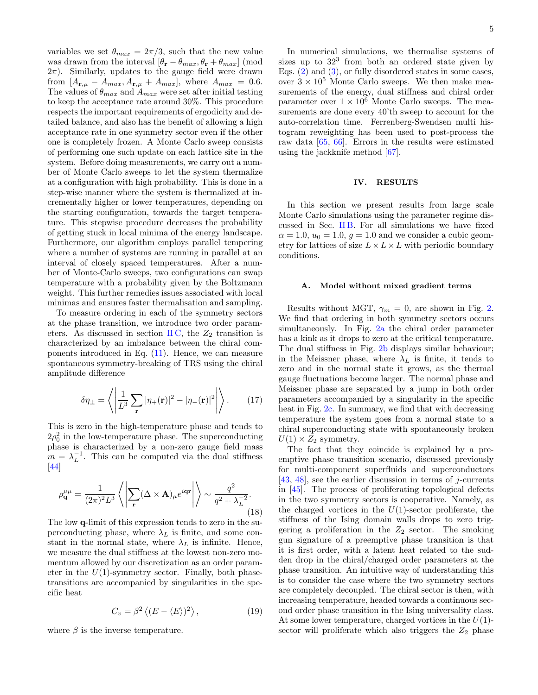variables we set  $\theta_{max} = 2\pi/3$ , such that the new value was drawn from the interval  $[\theta_{\bf r} - \theta_{max}, \theta_{\bf r} + \theta_{max}]$  (mod  $2\pi$ ). Similarly, updates to the gauge field were drawn from  $[A_{\mathbf{r},\mu} - A_{max}, A_{\mathbf{r},\mu} + A_{max}]$ , where  $A_{max} = 0.6$ . The values of  $\theta_{max}$  and  $A_{max}$  were set after initial testing to keep the acceptance rate around 30%. This procedure respects the important requirements of ergodicity and detailed balance, and also has the benefit of allowing a high acceptance rate in one symmetry sector even if the other one is completely frozen. A Monte Carlo sweep consists of performing one such update on each lattice site in the system. Before doing measurements, we carry out a number of Monte Carlo sweeps to let the system thermalize at a configuration with high probability. This is done in a step-wise manner where the system is thermalized at incrementally higher or lower temperatures, depending on the starting configuration, towards the target temperature. This stepwise procedure decreases the probability of getting stuck in local minima of the energy landscape. Furthermore, our algorithm employs parallel tempering where a number of systems are running in parallel at an interval of closely spaced temperatures. After a number of Monte-Carlo sweeps, two configurations can swap temperature with a probability given by the Boltzmann weight. This further remedies issues associated with local minimas and ensures faster thermalisation and sampling.

To measure ordering in each of the symmetry sectors at the phase transition, we introduce two order parameters. As discussed in section IIC, the  $Z_2$  transition is characterized by an imbalance between the chiral components introduced in Eq. [\(11\)](#page-2-3). Hence, we can measure spontaneous symmetry-breaking of TRS using the chiral amplitude difference

<span id="page-4-0"></span>
$$
\delta \eta_{\pm} = \left\langle \left| \frac{1}{L^3} \sum_{\mathbf{r}} |\eta_{+}(\mathbf{r})|^2 - |\eta_{-}(\mathbf{r})|^2 \right| \right\rangle. \tag{17}
$$

This is zero in the high-temperature phase and tends to  $2\rho_0^2$  in the low-temperature phase. The superconducting phase is characterized by a non-zero gauge field mass  $m = \lambda_L^{-1}$ . This can be computed via the dual stiffness  $\vert 44 \vert$ 

<span id="page-4-1"></span>
$$
\rho_{\mathbf{q}}^{\mu\mu} = \frac{1}{(2\pi)^2 L^3} \left\langle \left| \sum_{\mathbf{r}} (\Delta \times \mathbf{A})_{\mu} e^{i\mathbf{q}\mathbf{r}} \right| \right\rangle \sim \frac{q^2}{q^2 + \lambda_L^{-2}}.
$$
\n(18)

The low q-limit of this expression tends to zero in the superconducting phase, where  $\lambda_L$  is finite, and some constant in the normal state, where  $\lambda_L$  is infinite. Hence, we measure the dual stiffness at the lowest non-zero momentum allowed by our discretization as an order parameter in the  $U(1)$ -symmetry sector. Finally, both phasetransitions are accompanied by singularities in the specific heat

<span id="page-4-2"></span>
$$
C_v = \beta^2 \left\langle (E - \langle E \rangle)^2 \right\rangle,\tag{19}
$$

where  $\beta$  is the inverse temperature.

In numerical simulations, we thermalise systems of sizes up to  $32<sup>3</sup>$  from both an ordered state given by Eqs.  $(2)$  and  $(3)$ , or fully disordered states in some cases, over  $3 \times 10^5$  Monte Carlo sweeps. We then make measurements of the energy, dual stiffness and chiral order parameter over  $1 \times 10^6$  Monte Carlo sweeps. The measurements are done every 40'th sweep to account for the auto-correlation time. Ferrenberg-Swendsen multi histogram reweighting has been used to post-process the raw data [\[65,](#page-9-6) [66\]](#page-9-7). Errors in the results were estimated using the jackknife method [\[67\]](#page-9-8).

# IV. RESULTS

In this section we present results from large scale Monte Carlo simulations using the parameter regime discussed in Sec. IIB. For all simulations we have fixed  $\alpha = 1.0, u_0 = 1.0, g = 1.0$  and we consider a cubic geometry for lattices of size  $L \times L \times L$  with periodic boundary conditions.

## A. Model without mixed gradient terms

Results without MGT,  $\gamma_m = 0$ , are shown in Fig. [2.](#page-5-0) We find that ordering in both symmetry sectors occurs simultaneously. In Fig. [2a](#page-5-1) the chiral order parameter has a kink as it drops to zero at the critical temperature. The dual stiffness in Fig. [2b](#page-5-2) displays similar behaviour; in the Meissner phase, where  $\lambda_L$  is finite, it tends to zero and in the normal state it grows, as the thermal gauge fluctuations become larger. The normal phase and Meissner phase are separated by a jump in both order parameters accompanied by a singularity in the specific heat in Fig. [2c.](#page-5-3) In summary, we find that with decreasing temperature the system goes from a normal state to a chiral superconducting state with spontaneously broken  $U(1) \times Z_2$  symmetry.

The fact that they coincide is explained by a preemptive phase transition scenario, discussed previously for multi-component superfluids and superconductors [\[43,](#page-8-27) [48\]](#page-8-29), see the earlier discussion in terms of  $i$ -currents in [\[45\]](#page-8-30). The process of proliferating topological defects in the two symmetry sectors is cooperative. Namely, as the charged vortices in the  $U(1)$ -sector proliferate, the stiffness of the Ising domain walls drops to zero triggering a proliferation in the  $Z_2$  sector. The smoking gun signature of a preemptive phase transition is that it is first order, with a latent heat related to the sudden drop in the chiral/charged order parameters at the phase transition. An intuitive way of understanding this is to consider the case where the two symmetry sectors are completely decoupled. The chiral sector is then, with increasing temperature, headed towards a continuous second order phase transition in the Ising universality class. At some lower temperature, charged vortices in the  $U(1)$ sector will proliferate which also triggers the  $Z_2$  phase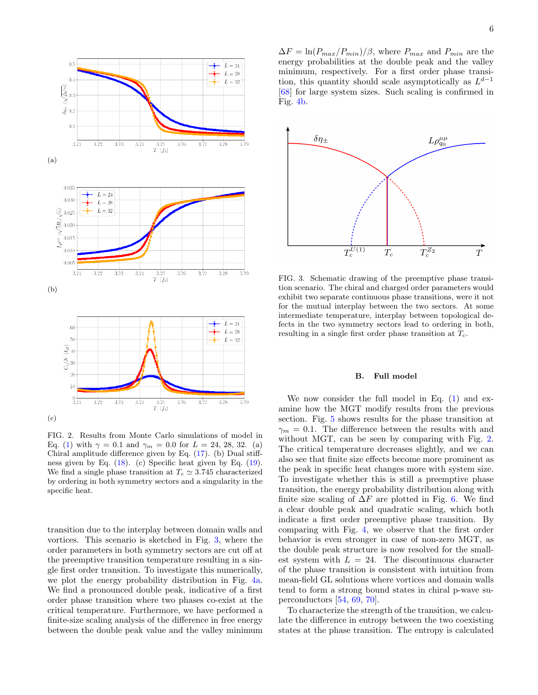<span id="page-5-2"></span><span id="page-5-1"></span>

<span id="page-5-3"></span><span id="page-5-0"></span>FIG. 2. Results from Monte Carlo simulations of model in Eq. [\(1\)](#page-1-1) with  $\gamma = 0.1$  and  $\gamma_m = 0.0$  for  $L = 24, 28, 32$ . (a) Chiral amplitude difference given by Eq. [\(17\)](#page-4-0). (b) Dual stiffness given by Eq. [\(18\)](#page-4-1). (c) Specific heat given by Eq. [\(19\)](#page-4-2). We find a single phase transition at  $T_c \simeq 3.745$  characterized by ordering in both symmetry sectors and a singularity in the specific heat.

transition due to the interplay between domain walls and vortices. This scenario is sketched in Fig. [3,](#page-5-4) where the order parameters in both symmetry sectors are cut off at the preemptive transition temperature resulting in a single first order transition. To investigate this numerically, we plot the energy probability distribution in Fig. [4a.](#page-6-0) We find a pronounced double peak, indicative of a first order phase transition where two phases co-exist at the critical temperature. Furthermore, we have performed a finite-size scaling analysis of the difference in free energy between the double peak value and the valley minimum

 $\Delta F = \ln(P_{max}/P_{min})/\beta$ , where  $P_{max}$  and  $P_{min}$  are the energy probabilities at the double peak and the valley minimum, respectively. For a first order phase transition, this quantity should scale asymptotically as  $L^{d-1}$ [\[68\]](#page-9-9) for large system sizes. Such scaling is confirmed in Fig. [4b.](#page-6-1)



<span id="page-5-4"></span>FIG. 3. Schematic drawing of the preemptive phase transition scenario. The chiral and charged order parameters would exhibit two separate continuous phase transitions, were it not for the mutual interplay between the two sectors. At some intermediate temperature, interplay between topological defects in the two symmetry sectors lead to ordering in both, resulting in a single first order phase transition at  $T_c$ .

#### B. Full model

We now consider the full model in Eq.  $(1)$  and examine how the MGT modify results from the previous section. Fig. [5](#page-6-2) shows results for the phase transition at  $\gamma_m = 0.1$ . The difference between the results with and without MGT, can be seen by comparing with Fig. [2.](#page-5-0) The critical temperature decreases slightly, and we can also see that finite size effects become more prominent as the peak in specific heat changes more with system size. To investigate whether this is still a preemptive phase transition, the energy probability distribution along with finite size scaling of  $\Delta F$  are plotted in Fig. [6.](#page-7-4) We find a clear double peak and quadratic scaling, which both indicate a first order preemptive phase transition. By comparing with Fig. [4,](#page-6-3) we observe that the first order behavior is even stronger in case of non-zero MGT, as the double peak structure is now resolved for the smallest system with  $L = 24$ . The discontinuous character of the phase transition is consistent with intuition from mean-field GL solutions where vortices and domain walls tend to form a strong bound states in chiral p-wave superconductors [\[54,](#page-8-36) [69,](#page-9-10) [70\]](#page-9-11).

To characterize the strength of the transition, we calculate the difference in entropy between the two coexisting states at the phase transition. The entropy is calculated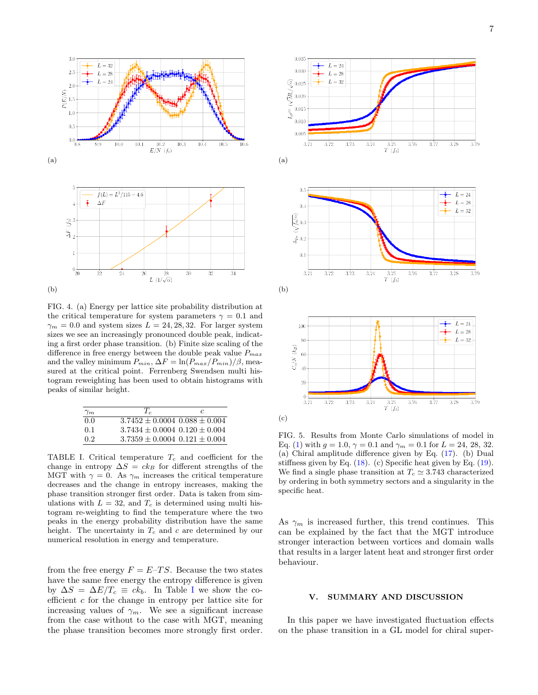

<span id="page-6-1"></span><span id="page-6-0"></span>

<span id="page-6-3"></span>FIG. 4. (a) Energy per lattice site probability distribution at the critical temperature for system parameters  $\gamma = 0.1$  and  $\gamma_m = 0.0$  and system sizes  $L = 24, 28, 32$ . For larger system sizes we see an increasingly pronounced double peak, indicating a first order phase transition. (b) Finite size scaling of the difference in free energy between the double peak value  $P_{max}$ and the valley minimum  $P_{min}$ ,  $\Delta F = \ln(P_{max}/P_{min})/\beta$ , measured at the critical point. Ferrenberg Swendsen multi histogram reweighting has been used to obtain histograms with peaks of similar height.

| $\gamma_m$       | $T_c$                                 | C. |
|------------------|---------------------------------------|----|
| 0.0              | $3.7452 \pm 0.0004$ $0.088 \pm 0.004$ |    |
| 0.1              | $3.7434 + 0.0004$ $0.120 + 0.004$     |    |
| 0.2 <sup>2</sup> | $3.7359 \pm 0.0004$ $0.121 \pm 0.004$ |    |

<span id="page-6-4"></span>TABLE I. Critical temperature  $T_c$  and coefficient for the change in entropy  $\Delta S = ck_B$  for different strengths of the MGT with  $\gamma = 0$ . As  $\gamma_m$  increases the critical temperature decreases and the change in entropy increases, making the phase transition stronger first order. Data is taken from simulations with  $L = 32$ , and  $T_c$  is determined using multi histogram re-weighting to find the temperature where the two peaks in the energy probability distribution have the same height. The uncertainty in  $T_c$  and c are determined by our numerical resolution in energy and temperature.

from the free energy  $F = E-TS$ . Because the two states have the same free energy the entropy difference is given by  $\Delta S = \Delta E/T_c \equiv ck_b$ . [I](#page-6-4)n Table I we show the coefficient  $c$  for the change in entropy per lattice site for increasing values of  $\gamma_m$ . We see a significant increase from the case without to the case with MGT, meaning the phase transition becomes more strongly first order.



<span id="page-6-2"></span>(c)

FIG. 5. Results from Monte Carlo simulations of model in Eq. [\(1\)](#page-1-1) with  $g = 1.0$ ,  $\gamma = 0.1$  and  $\gamma_m = 0.1$  for  $L = 24$ , 28, 32. (a) Chiral amplitude difference given by Eq. [\(17\)](#page-4-0). (b) Dual stiffness given by Eq.  $(18)$ . (c) Specific heat given by Eq.  $(19)$ . We find a single phase transition at  $T_c \approx 3.743$  characterized by ordering in both symmetry sectors and a singularity in the specific heat.

As  $\gamma_m$  is increased further, this trend continues. This can be explained by the fact that the MGT introduce stronger interaction between vortices and domain walls that results in a larger latent heat and stronger first order behaviour.

#### V. SUMMARY AND DISCUSSION

In this paper we have investigated fluctuation effects on the phase transition in a GL model for chiral super-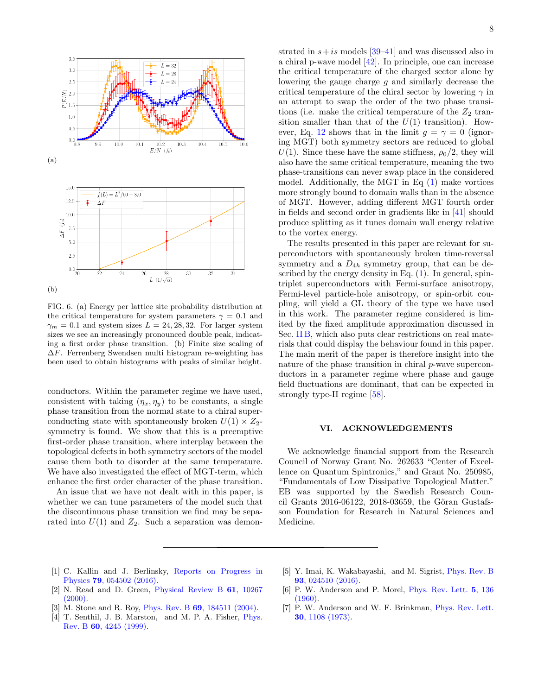

<span id="page-7-4"></span>FIG. 6. (a) Energy per lattice site probability distribution at the critical temperature for system parameters  $\gamma = 0.1$  and  $\gamma_m = 0.1$  and system sizes  $L = 24, 28, 32$ . For larger system sizes we see an increasingly pronounced double peak, indicating a first order phase transition. (b) Finite size scaling of ∆F. Ferrenberg Swendsen multi histogram re-weighting has been used to obtain histograms with peaks of similar height.

conductors. Within the parameter regime we have used, consistent with taking  $(\eta_x, \eta_y)$  to be constants, a single phase transition from the normal state to a chiral superconducting state with spontaneously broken  $U(1) \times Z_2$ symmetry is found. We show that this is a preemptive first-order phase transition, where interplay between the topological defects in both symmetry sectors of the model cause them both to disorder at the same temperature. We have also investigated the effect of MGT-term, which enhance the first order character of the phase transition.

An issue that we have not dealt with in this paper, is whether we can tune parameters of the model such that the discontinuous phase transition we find may be separated into  $U(1)$  and  $Z_2$ . Such a separation was demonstrated in  $s+is$  models [\[39](#page-8-23)[–41\]](#page-8-25) and was discussed also in a chiral p-wave model [\[42\]](#page-8-26). In principle, one can increase the critical temperature of the charged sector alone by lowering the gauge charge  $g$  and similarly decrease the critical temperature of the chiral sector by lowering  $\gamma$  in an attempt to swap the order of the two phase transitions (i.e. make the critical temperature of the  $Z_2$  transition smaller than that of the  $U(1)$  transition). How-ever, Eq. [12](#page-3-1) shows that in the limit  $q = \gamma = 0$  (ignoring MGT) both symmetry sectors are reduced to global  $U(1)$ . Since these have the same stiffness,  $\rho_0/2$ , they will also have the same critical temperature, meaning the two phase-transitions can never swap place in the considered model. Additionally, the MGT in Eq [\(1\)](#page-1-1) make vortices more strongly bound to domain walls than in the absence of MGT. However, adding different MGT fourth order in fields and second order in gradients like in [\[41\]](#page-8-25) should produce splitting as it tunes domain wall energy relative to the vortex energy.

The results presented in this paper are relevant for superconductors with spontaneously broken time-reversal symmetry and a  $D_{4h}$  symmetry group, that can be described by the energy density in Eq.  $(1)$ . In general, spintriplet superconductors with Fermi-surface anisotropy, Fermi-level particle-hole anisotropy, or spin-orbit coupling, will yield a GL theory of the type we have used in this work. The parameter regime considered is limited by the fixed amplitude approximation discussed in Sec. [II B,](#page-1-0) which also puts clear restrictions on real materials that could display the behaviour found in this paper. The main merit of the paper is therefore insight into the nature of the phase transition in chiral p-wave superconductors in a parameter regime where phase and gauge field fluctuations are dominant, that can be expected in strongly type-II regime [\[58\]](#page-8-41).

## VI. ACKNOWLEDGEMENTS

We acknowledge financial support from the Research Council of Norway Grant No. 262633 "Center of Excellence on Quantum Spintronics," and Grant No. 250985, "Fundamentals of Low Dissipative Topological Matter." EB was supported by the Swedish Research Council Grants 2016-06122, 2018-03659, the Göran Gustafsson Foundation for Research in Natural Sciences and Medicine.

- <span id="page-7-0"></span>[1] C. Kallin and J. Berlinsky, [Reports on Progress in](http://dx.doi.org/10.1088/0034-4885/79/5/054502) Physics 79[, 054502 \(2016\).](http://dx.doi.org/10.1088/0034-4885/79/5/054502)
- <span id="page-7-1"></span>[2] N. Read and D. Green, [Physical Review B](https://journals.aps.org/prb/abstract/10.1103/PhysRevB.61.10267) 61, 10267  $(2000).$
- [3] M. Stone and R. Roy, Phys. Rev. B 69[, 184511 \(2004\).](http://dx.doi.org/10.1103/PhysRevB.69.184511)
- [4] T. Senthil, J. B. Marston, and M. P. A. Fisher, [Phys.](http://dx.doi.org/10.1103/PhysRevB.60.4245) Rev. B 60[, 4245 \(1999\).](http://dx.doi.org/10.1103/PhysRevB.60.4245)
- <span id="page-7-2"></span>[5] Y. Imai, K. Wakabayashi, and M. Sigrist, [Phys. Rev. B](http://dx.doi.org/10.1103/PhysRevB.93.024510) 93[, 024510 \(2016\).](http://dx.doi.org/10.1103/PhysRevB.93.024510)
- <span id="page-7-3"></span>[6] P. W. Anderson and P. Morel, [Phys. Rev. Lett.](http://dx.doi.org/10.1103/PhysRevLett.5.136) 5, 136 [\(1960\).](http://dx.doi.org/10.1103/PhysRevLett.5.136)
- [7] P. W. Anderson and W. F. Brinkman, [Phys. Rev. Lett.](http://dx.doi.org/10.1103/PhysRevLett.30.1108) 30[, 1108 \(1973\).](http://dx.doi.org/10.1103/PhysRevLett.30.1108)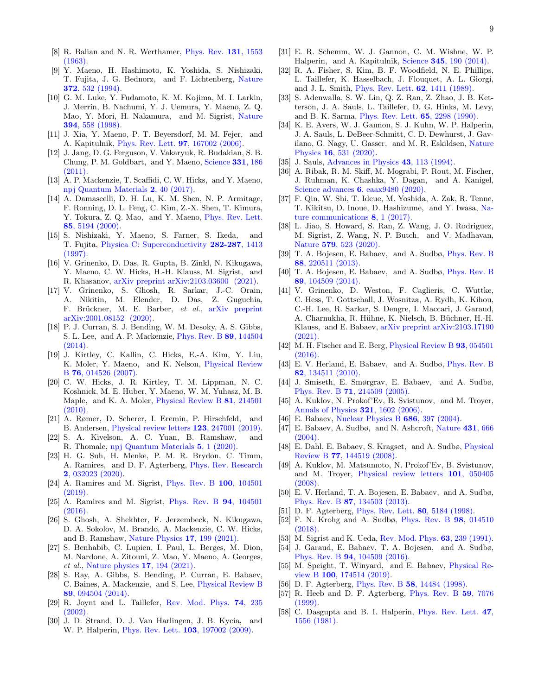- <span id="page-8-0"></span>[8] R. Balian and N. R. Werthamer, [Phys. Rev.](http://dx.doi.org/10.1103/PhysRev.131.1553) 131, 1553 [\(1963\).](http://dx.doi.org/10.1103/PhysRev.131.1553)
- <span id="page-8-1"></span>[9] Y. Maeno, H. Hashimoto, K. Yoshida, S. Nishizaki, T. Fujita, J. G. Bednorz, and F. Lichtenberg, [Nature](http://dx.doi.org/10.1038/372532a0) 372[, 532 \(1994\).](http://dx.doi.org/10.1038/372532a0)
- <span id="page-8-4"></span>[10] G. M. Luke, Y. Fudamoto, K. M. Kojima, M. I. Larkin, J. Merrin, B. Nachumi, Y. J. Uemura, Y. Maeno, Z. Q. Mao, Y. Mori, H. Nakamura, and M. Sigrist, [Nature](http://dx.doi.org/10.1038/29038) 394[, 558 \(1998\).](http://dx.doi.org/10.1038/29038)
- <span id="page-8-5"></span>[11] J. Xia, Y. Maeno, P. T. Beyersdorf, M. M. Fejer, and A. Kapitulnik, [Phys. Rev. Lett.](http://dx.doi.org/ 10.1103/PhysRevLett.97.167002) 97, 167002 (2006).
- [12] J. Jang, D. G. Ferguson, V. Vakaryuk, R. Budakian, S. B. Chung, P. M. Goldbart, and Y. Maeno, [Science](http://dx.doi.org/ 10.1126/science.1193839) 331, 186 [\(2011\).](http://dx.doi.org/ 10.1126/science.1193839)
- <span id="page-8-2"></span>[13] A. P. Mackenzie, T. Scaffidi, C. W. Hicks, and Y. Maeno, [npj Quantum Materials](http://dx.doi.org/10.1038/s41535-017-0045-4) 2, 40 (2017).
- <span id="page-8-3"></span>[14] A. Damascelli, D. H. Lu, K. M. Shen, N. P. Armitage, F. Ronning, D. L. Feng, C. Kim, Z.-X. Shen, T. Kimura, Y. Tokura, Z. Q. Mao, and Y. Maeno, [Phys. Rev. Lett.](http://dx.doi.org/10.1103/PhysRevLett.85.5194) 85[, 5194 \(2000\).](http://dx.doi.org/10.1103/PhysRevLett.85.5194)
- <span id="page-8-6"></span>[15] S. Nishizaki, Y. Maeno, S. Farner, S. Ikeda, and T. Fujita, [Physica C: Superconductivity](http://dx.doi.org/ https://doi.org/10.1016/S0921-4534(97)00804-6) 282-287, 1413 [\(1997\).](http://dx.doi.org/ https://doi.org/10.1016/S0921-4534(97)00804-6)
- <span id="page-8-7"></span>[16] V. Grinenko, D. Das, R. Gupta, B. Zinkl, N. Kikugawa, Y. Maeno, C. W. Hicks, H.-H. Klauss, M. Sigrist, and R. Khasanov, [arXiv preprint arXiv:2103.03600 \(2021\).](https://arxiv.org/abs/2103.03600)
- <span id="page-8-8"></span>[17] V. Grinenko, S. Ghosh, R. Sarkar, J.-C. Orain, A. Nikitin, M. Elender, D. Das, Z. Guguchia, F. Brückner, M. E. Barber, et al., [arXiv preprint](https://arxiv.org/abs/2001.08152) [arXiv:2001.08152 \(2020\).](https://arxiv.org/abs/2001.08152)
- <span id="page-8-9"></span>[18] P. J. Curran, S. J. Bending, W. M. Desoky, A. S. Gibbs, S. L. Lee, and A. P. Mackenzie, [Phys. Rev. B](http://dx.doi.org/ 10.1103/PhysRevB.89.144504) 89, 144504  $(2014)$ .
- [19] J. Kirtley, C. Kallin, C. Hicks, E.-A. Kim, Y. Liu, K. Moler, Y. Maeno, and K. Nelson, [Physical Review](https://journals.aps.org/prb/abstract/10.1103/PhysRevB.76.014526) B 76[, 014526 \(2007\).](https://journals.aps.org/prb/abstract/10.1103/PhysRevB.76.014526)
- <span id="page-8-10"></span>[20] C. W. Hicks, J. R. Kirtley, T. M. Lippman, N. C. Koshnick, M. E. Huber, Y. Maeno, W. M. Yuhasz, M. B. Maple, and K. A. Moler, [Physical Review B](https://journals.aps.org/prb/abstract/10.1103/PhysRevB.81.214501) 81, 214501 [\(2010\).](https://journals.aps.org/prb/abstract/10.1103/PhysRevB.81.214501)
- <span id="page-8-11"></span>[21] A. Rømer, D. Scherer, I. Eremin, P. Hirschfeld, and B. Andersen, [Physical review letters](https://journals.aps.org/prl/abstract/10.1103/PhysRevLett.123.247001) 123, 247001 (2019).
- [22] S. A. Kivelson, A. C. Yuan, B. Ramshaw, and R. Thomale, [npj Quantum Materials](https://www.nature.com/articles/s41535-020-0245-1) 5, 1 (2020).
- [23] H. G. Suh, H. Menke, P. M. R. Brydon, C. Timm, A. Ramires, and D. F. Agterberg, [Phys. Rev. Research](http://dx.doi.org/ 10.1103/PhysRevResearch.2.032023) 2[, 032023 \(2020\).](http://dx.doi.org/ 10.1103/PhysRevResearch.2.032023)
- [24] A. Ramires and M. Sigrist, [Phys. Rev. B](http://dx.doi.org/10.1103/PhysRevB.100.104501) 100, 104501 [\(2019\).](http://dx.doi.org/10.1103/PhysRevB.100.104501)
- <span id="page-8-12"></span>[25] A. Ramires and M. Sigrist, [Phys. Rev. B](http://dx.doi.org/10.1103/PhysRevB.94.104501) 94, 104501  $(2016).$
- <span id="page-8-13"></span>[26] S. Ghosh, A. Shekhter, F. Jerzembeck, N. Kikugawa, D. A. Sokolov, M. Brando, A. Mackenzie, C. W. Hicks, and B. Ramshaw, [Nature Physics](https://www.nature.com/articles/s41567-020-1032-4) 17, 199 (2021).
- <span id="page-8-14"></span>[27] S. Benhabib, C. Lupien, I. Paul, L. Berges, M. Dion, M. Nardone, A. Zitouni, Z. Mao, Y. Maeno, A. Georges, et al., [Nature physics](https://www.nature.com/articles/s41567-020-1033-3) 17, 194 (2021).
- <span id="page-8-15"></span>[28] S. Ray, A. Gibbs, S. Bending, P. Curran, E. Babaev, C. Baines, A. Mackenzie, and S. Lee, [Physical Review B](https://journals.aps.org/prb/abstract/10.1103/PhysRevB.89.094504) 89[, 094504 \(2014\).](https://journals.aps.org/prb/abstract/10.1103/PhysRevB.89.094504)
- <span id="page-8-16"></span>[29] R. Joynt and L. Taillefer, [Rev. Mod. Phys.](http://dx.doi.org/10.1103/RevModPhys.74.235) 74, 235 [\(2002\).](http://dx.doi.org/10.1103/RevModPhys.74.235)
- [30] J. D. Strand, D. J. Van Harlingen, J. B. Kycia, and W. P. Halperin, [Phys. Rev. Lett.](http://dx.doi.org/10.1103/PhysRevLett.103.197002) 103, 197002 (2009).
- <span id="page-8-17"></span>[31] E. R. Schemm, W. J. Gannon, C. M. Wishne, W. P. Halperin, and A. Kapitulnik, Science 345[, 190 \(2014\).](http://dx.doi.org/ 10.1126/science.1248552)
- <span id="page-8-18"></span>[32] R. A. Fisher, S. Kim, B. F. Woodfield, N. E. Phillips, L. Taillefer, K. Hasselbach, J. Flouquet, A. L. Giorgi, and J. L. Smith, [Phys. Rev. Lett.](http://dx.doi.org/ 10.1103/PhysRevLett.62.1411) 62, 1411 (1989).
- [33] S. Adenwalla, S. W. Lin, Q. Z. Ran, Z. Zhao, J. B. Ketterson, J. A. Sauls, L. Taillefer, D. G. Hinks, M. Levy, and B. K. Sarma, [Phys. Rev. Lett.](http://dx.doi.org/ 10.1103/PhysRevLett.65.2298) 65, 2298 (1990).
- <span id="page-8-19"></span>[34] K. E. Avers, W. J. Gannon, S. J. Kuhn, W. P. Halperin, J. A. Sauls, L. DeBeer-Schmitt, C. D. Dewhurst, J. Gavilano, G. Nagy, U. Gasser, and M. R. Eskildsen, [Nature](http://dx.doi.org/10.1038/s41567-020-0822-z) Physics 16[, 531 \(2020\).](http://dx.doi.org/10.1038/s41567-020-0822-z)
- <span id="page-8-20"></span>[35] J. Sauls, [Advances in Physics](http://dx.doi.org/10.1080/00018739400101475) 43, 113 (1994).
- <span id="page-8-21"></span>[36] A. Ribak, R. M. Skiff, M. Mograbi, P. Rout, M. Fischer, J. Ruhman, K. Chashka, Y. Dagan, and A. Kanigel, Science advances 6[, eaax9480 \(2020\).](https://advances.sciencemag.org/content/6/13/eaax9480.abstract)
- [37] F. Qin, W. Shi, T. Ideue, M. Yoshida, A. Zak, R. Tenne, T. Kikitsu, D. Inoue, D. Hashizume, and Y. Iwasa, [Na](https://www.nature.com/articles/ncomms14465)[ture communications](https://www.nature.com/articles/ncomms14465) 8, 1 (2017).
- <span id="page-8-22"></span>[38] L. Jiao, S. Howard, S. Ran, Z. Wang, J. O. Rodriguez, M. Sigrist, Z. Wang, N. P. Butch, and V. Madhavan, Nature 579[, 523 \(2020\).](https://www.nature.com/articles/s41586-020-2122-2)
- <span id="page-8-23"></span>[39] T. A. Bojesen, E. Babaev, and A. Sudbø, [Phys. Rev. B](http://dx.doi.org/10.1103/PhysRevB.88.220511) 88[, 220511 \(2013\).](http://dx.doi.org/10.1103/PhysRevB.88.220511)
- <span id="page-8-24"></span>[40] T. A. Bojesen, E. Babaev, and A. Sudbø, [Phys. Rev. B](http://dx.doi.org/10.1103/PhysRevB.89.104509) 89[, 104509 \(2014\).](http://dx.doi.org/10.1103/PhysRevB.89.104509)
- <span id="page-8-25"></span>[41] V. Grinenko, D. Weston, F. Caglieris, C. Wuttke, C. Hess, T. Gottschall, J. Wosnitza, A. Rydh, K. Kihou, C.-H. Lee, R. Sarkar, S. Dengre, I. Maccari, J. Garaud, A. Charnukha, R. Hühne, K. Nielsch, B. Büchner, H.-H. Klauss, and E. Babaev, [arXiv preprint arXiv:2103.17190](https://arxiv.org/abs/2103.17190)  $(2021)$ .
- <span id="page-8-26"></span>[42] M. H. Fischer and E. Berg, [Physical Review B](https://journals.aps.org/prb/abstract/10.1103/PhysRevB.93.054501) **93**, 054501 [\(2016\).](https://journals.aps.org/prb/abstract/10.1103/PhysRevB.93.054501)
- <span id="page-8-27"></span>[43] E. V. Herland, E. Babaev, and A. Sudbø, [Phys. Rev. B](http://dx.doi.org/10.1103/PhysRevB.82.134511) 82[, 134511 \(2010\).](http://dx.doi.org/10.1103/PhysRevB.82.134511)
- <span id="page-8-38"></span>[44] J. Smiseth, E. Smørgrav, E. Babaev, and A. Sudbø, Phys. Rev. B 71[, 214509 \(2005\).](http://dx.doi.org/10.1103/PhysRevB.71.214509)
- <span id="page-8-30"></span>[45] A. Kuklov, N. Prokof'Ev, B. Svistunov, and M. Troyer, [Annals of Physics](https://www.sciencedirect.com/science/article/pii/S0003491606000789) 321, 1602 (2006).
- [46] E. Babaev, [Nuclear Physics B](https://www.sciencedirect.com/science/article/pii/S0550321304001294?via%3Dihub) 686, 397 (2004).
- <span id="page-8-28"></span>[47] E. Babaev, A. Sudbø, and N. Ashcroft, [Nature](https://www.nature.com/articles/nature02910) 431, 666 [\(2004\).](https://www.nature.com/articles/nature02910)
- <span id="page-8-29"></span>[48] E. Dahl, E. Babaev, S. Kragset, and A. Sudbø, [Physical](https://journals.aps.org/prb/abstract/10.1103/PhysRevB.77.144519) Review B 77[, 144519 \(2008\).](https://journals.aps.org/prb/abstract/10.1103/PhysRevB.77.144519)
- <span id="page-8-31"></span>[49] A. Kuklov, M. Matsumoto, N. Prokof'Ev, B. Svistunov, and M. Troyer, [Physical review letters](https://journals.aps.org/prl/abstract/10.1103/PhysRevLett.101.050405) 101, 050405 [\(2008\).](https://journals.aps.org/prl/abstract/10.1103/PhysRevLett.101.050405)
- <span id="page-8-32"></span>[50] E. V. Herland, T. A. Bojesen, E. Babaev, and A. Sudbø, Phys. Rev. B 87[, 134503 \(2013\).](http://dx.doi.org/10.1103/PhysRevB.87.134503)
- <span id="page-8-33"></span>[51] D. F. Agterberg, [Phys. Rev. Lett.](http://dx.doi.org/10.1103/PhysRevLett.80.5184) 80, 5184 (1998).
- <span id="page-8-34"></span>[52] F. N. Krohg and A. Sudbø, [Phys. Rev. B](http://dx.doi.org/10.1103/PhysRevB.98.014510) 98, 014510 [\(2018\).](http://dx.doi.org/10.1103/PhysRevB.98.014510)
- <span id="page-8-35"></span>[53] M. Sigrist and K. Ueda, [Rev. Mod. Phys.](http://dx.doi.org/10.1103/RevModPhys.63.239) **63**, 239 (1991).
- <span id="page-8-36"></span>[54] J. Garaud, E. Babaev, T. A. Bojesen, and A. Sudbø, Phys. Rev. B 94[, 104509 \(2016\).](http://dx.doi.org/10.1103/PhysRevB.94.104509)
- <span id="page-8-37"></span>[55] M. Speight, T. Winyard, and E. Babaev, [Physical Re](https://journals.aps.org/prb/abstract/10.1103/PhysRevB.100.174514)view B 100[, 174514 \(2019\).](https://journals.aps.org/prb/abstract/10.1103/PhysRevB.100.174514)
- <span id="page-8-39"></span>[56] D. F. Agterberg, Phys. Rev. B 58[, 14484 \(1998\).](http://dx.doi.org/10.1103/PhysRevB.58.14484)
- <span id="page-8-40"></span>[57] R. Heeb and D. F. Agterberg, [Phys. Rev. B](http://dx.doi.org/10.1103/PhysRevB.59.7076) 59, 7076  $(1999)$ .
- <span id="page-8-41"></span>[58] C. Dasgupta and B. I. Halperin, [Phys. Rev. Lett.](http://dx.doi.org/10.1103/PhysRevLett.47.1556) 47, [1556 \(1981\).](http://dx.doi.org/10.1103/PhysRevLett.47.1556)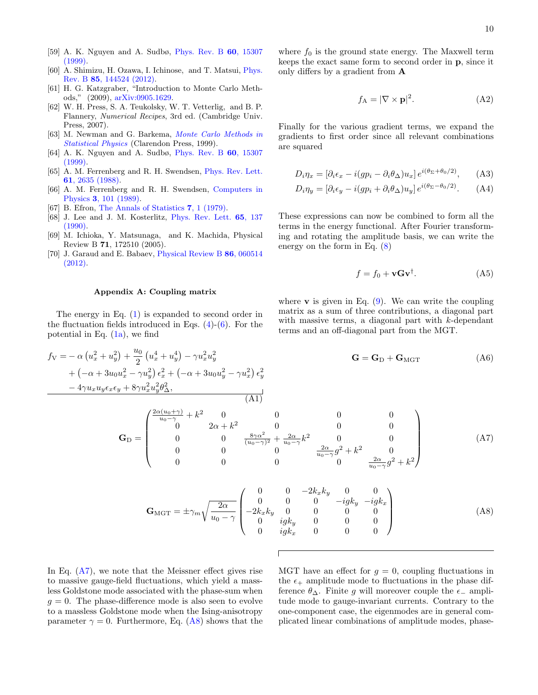- <span id="page-9-1"></span>[59] A. K. Nguyen and A. Sudbø, [Phys. Rev. B](http://dx.doi.org/10.1103/PhysRevB.60.15307) 60, 15307 [\(1999\).](http://dx.doi.org/10.1103/PhysRevB.60.15307)
- <span id="page-9-2"></span>[60] A. Shimizu, H. Ozawa, I. Ichinose, and T. Matsui, [Phys.](http://dx.doi.org/10.1103/PhysRevB.85.144524) Rev. B 85[, 144524 \(2012\).](http://dx.doi.org/10.1103/PhysRevB.85.144524)
- <span id="page-9-3"></span>[61] H. G. Katzgraber, "Introduction to Monte Carlo Methods," (2009), [arXiv:0905.1629.](http://arxiv.org/abs/arXiv:0905.1629)
- [62] W. H. Press, S. A. Teukolsky, W. T. Vetterlig, and B. P. Flannery, Numerical Recipes, 3rd ed. (Cambridge Univ. Press, 2007).
- <span id="page-9-4"></span>[63] M. Newman and G. Barkema, [Monte Carlo Methods in](https://books.google.no/books?id=J5aLdDN4uFwC) [Statistical Physics](https://books.google.no/books?id=J5aLdDN4uFwC) (Clarendon Press, 1999).
- <span id="page-9-5"></span>[64] A. K. Nguyen and A. Sudbø, [Phys. Rev. B](http://dx.doi.org/10.1103/PhysRevB.60.15307) **60**, 15307  $(1999)$ .
- <span id="page-9-6"></span>[65] A. M. Ferrenberg and R. H. Swendsen, [Phys. Rev. Lett.](http://dx.doi.org/10.1103/PhysRevLett.61.2635) 61[, 2635 \(1988\).](http://dx.doi.org/10.1103/PhysRevLett.61.2635)
- <span id="page-9-7"></span>[66] A. M. Ferrenberg and R. H. Swendsen, [Computers in](https://aip.scitation.org/doi/pdf/10.1063/1.4822862) Physics 3[, 101 \(1989\).](https://aip.scitation.org/doi/pdf/10.1063/1.4822862)
- <span id="page-9-8"></span>[67] B. Efron, [The Annals of Statistics](http://www.jstor.org/stable/2958830) **7**, 1 (1979).
- <span id="page-9-9"></span>[68] J. Lee and J. M. Kosterlitz, [Phys. Rev. Lett.](http://dx.doi.org/10.1103/PhysRevLett.65.137) 65, 137 [\(1990\).](http://dx.doi.org/10.1103/PhysRevLett.65.137)
- <span id="page-9-10"></span>[69] M. Ichioka, Y. Matsunaga, and K. Machida, Physical Review B 71, 172510 (2005).
- <span id="page-9-11"></span>[70] J. Garaud and E. Babaev, [Physical Review B](https://journals.aps.org/prb/abstract/10.1103/PhysRevB.86.060514) 86, 060514 [\(2012\).](https://journals.aps.org/prb/abstract/10.1103/PhysRevB.86.060514)

## <span id="page-9-0"></span>Appendix A: Coupling matrix

The energy in Eq. [\(1\)](#page-1-1) is expanded to second order in the fluctuation fields introduced in Eqs.  $(4)-(6)$  $(4)-(6)$  $(4)-(6)$ . For the potential in Eq.  $(1a)$ , we find

 $\frac{u_0}{2}\left(u_x^4+u_y^4\right)-\gamma u_x^2u_y^2$ 

 $+\left( -\alpha +3u_{0}u_{x}^{2}-\gamma u_{y}^{2}\right) \epsilon_{x}^{2}+\left( -\alpha +3u_{0}u_{y}^{2}-\gamma u_{x}^{2}\right) \epsilon_{y}^{2}$ 

 $f_V = -\alpha \left( u_x^2 + u_y^2 \right) + \frac{u_0}{2}$ 

where  $f_0$  is the ground state energy. The Maxwell term keeps the exact same form to second order in p, since it only differs by a gradient from A

$$
f_{\mathbf{A}} = |\nabla \times \mathbf{p}|^2. \tag{A2}
$$

Finally for the various gradient terms, we expand the gradients to first order since all relevant combinations are squared

$$
D_i \eta_x = [\partial_i \epsilon_x - i(g p_i - \partial_i \theta_\Delta) u_x] e^{i(\theta_\Sigma + \theta_0/2)}, \quad \text{(A3)}
$$

$$
D_i \eta_y = [\partial_i \epsilon_y - i(g p_i + \partial_i \theta_\Delta) u_y] e^{i(\theta_\Sigma - \theta_0/2)}.
$$
 (A4)

These expressions can now be combined to form all the terms in the energy functional. After Fourier transforming and rotating the amplitude basis, we can write the energy on the form in Eq. [\(8\)](#page-2-4)

$$
f = f_0 + \mathbf{vGv}^\dagger. \tag{A5}
$$

where  $\bf{v}$  is given in Eq. [\(9\)](#page-2-5). We can write the coupling matrix as a sum of three contributions, a diagonal part with massive terms, a diagonal part with  $k$ -dependant terms and an off-diagonal part from the MGT.

$$
\mathbf{G} = \mathbf{G}_{D} + \mathbf{G}_{MGT} \tag{A6}
$$

$$
-4\gamma u_x u_y \epsilon_x \epsilon_y + 8\gamma u_x^2 u_y^2 \theta_{\Delta}^2,
$$
\n(A1)\n
$$
\mathbf{G}_{\mathbf{D}} = \begin{pmatrix}\n\frac{2\alpha(u_0 + \gamma)}{u_0 - \gamma} + k^2 & 0 & 0 & 0 & 0 \\
0 & 2\alpha + k^2 & 0 & 0 & 0 \\
0 & 0 & \frac{8\gamma\alpha^2}{(u_0 - \gamma)^2} + \frac{2\alpha}{u_0 - \gamma} k^2 & 0 & 0 \\
0 & 0 & 0 & \frac{2\alpha}{u_0 - \gamma} g^2 + k^2 & 0 \\
0 & 0 & 0 & 0 & \frac{2\alpha}{u_0 - \gamma} g^2 + k^2\n\end{pmatrix}
$$
\n(A7)

<span id="page-9-13"></span><span id="page-9-12"></span>
$$
\mathbf{G}_{\text{MGT}} = \pm \gamma_m \sqrt{\frac{2\alpha}{u_0 - \gamma}} \begin{pmatrix} 0 & 0 & -2k_x k_y & 0 & 0 \\ 0 & 0 & 0 & -igk_y & -igk_x \\ -2k_x k_y & 0 & 0 & 0 & 0 \\ 0 & igk_y & 0 & 0 & 0 \\ 0 & igk_x & 0 & 0 & 0 \end{pmatrix}
$$
(A8)

In Eq.  $(A7)$ , we note that the Meissner effect gives rise to massive gauge-field fluctuations, which yield a massless Goldstone mode associated with the phase-sum when  $g = 0$ . The phase-difference mode is also seen to evolve to a massless Goldstone mode when the Ising-anisotropy parameter  $\gamma = 0$ . Furthermore, Eq. [\(A8\)](#page-9-13) shows that the

MGT have an effect for  $g = 0$ , coupling fluctuations in the  $\epsilon_{+}$  amplitude mode to fluctuations in the phase difference  $\theta_{\Delta}$ . Finite g will moreover couple the  $\epsilon_{-}$  amplitude mode to gauge-invariant currents. Contrary to the one-component case, the eigenmodes are in general complicated linear combinations of amplitude modes, phase